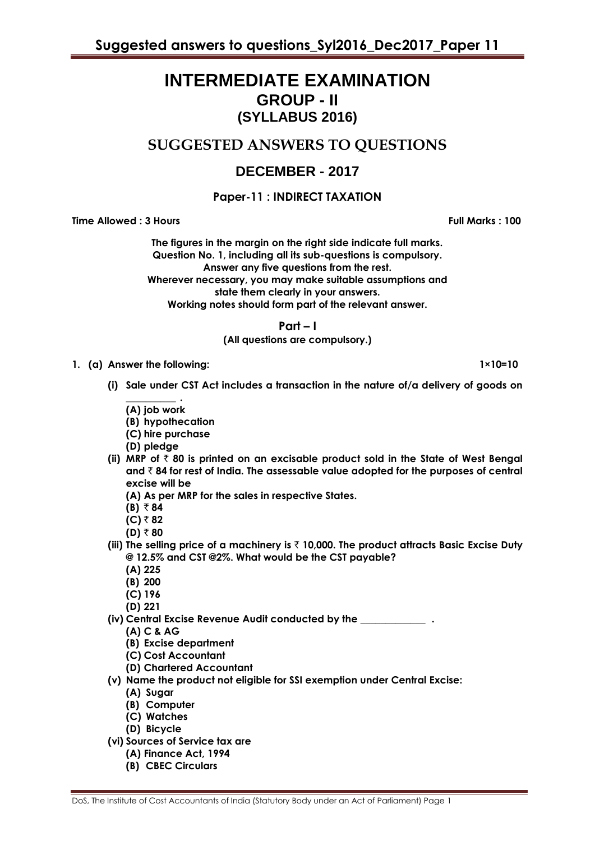# **INTERMEDIATE EXAMINATION GROUP - II (SYLLABUS 2016)**

# **SUGGESTED ANSWERS TO QUESTIONS**

# **DECEMBER - 2017**

## **Paper-11 : INDIRECT TAXATION**

**Time Allowed : 3 Hours Full Marks : 100**

**The figures in the margin on the right side indicate full marks. Question No. 1, including all its sub-questions is compulsory. Answer any five questions from the rest. Wherever necessary, you may make suitable assumptions and state them clearly in your answers. Working notes should form part of the relevant answer.**

**Part – I**

**(All questions are compulsory.)**

**1. (a) Answer the following: 1×10=10**

- **(i) Sale under CST Act includes a transaction in the nature of/a delivery of goods on** 
	- **\_\_\_\_\_\_\_\_\_\_ . (A) job work**
	- **(B) hypothecation**
	- **(C) hire purchase**
	- **(D) pledge**
- **(ii) MRP of** ` **80 is printed on an excisable product sold in the State of West Bengal and** ` **84 for rest of India. The assessable value adopted for the purposes of central excise will be**
	- **(A) As per MRP for the sales in respective States.**
	- $(B)$  ₹ 84
	- **(C)** ` **82**
	- $(D) ₹ 80$
- **(iii) The selling price of a machinery is** ` **10,000. The product attracts Basic Excise Duty @ 12.5% and CST @2%. What would be the CST payable?**
	- **(A) 225**
	- **(B) 200**
	- **(C) 196**
	- **(D) 221**
- **(iv) Central Excise Revenue Audit conducted by the \_\_\_\_\_\_\_\_\_\_\_\_\_ .**
	- **(A) C & AG**
	- **(B) Excise department**
	- **(C) Cost Accountant**
	- **(D) Chartered Accountant**
- **(v) Name the product not eligible for SSI exemption under Central Excise:**
	- **(A) Sugar**
	- **(B) Computer**
	- **(C) Watches**
	- **(D) Bicycle**
- **(vi) Sources of Service tax are** 
	- **(A) Finance Act, 1994**
	- **(B) CBEC Circulars**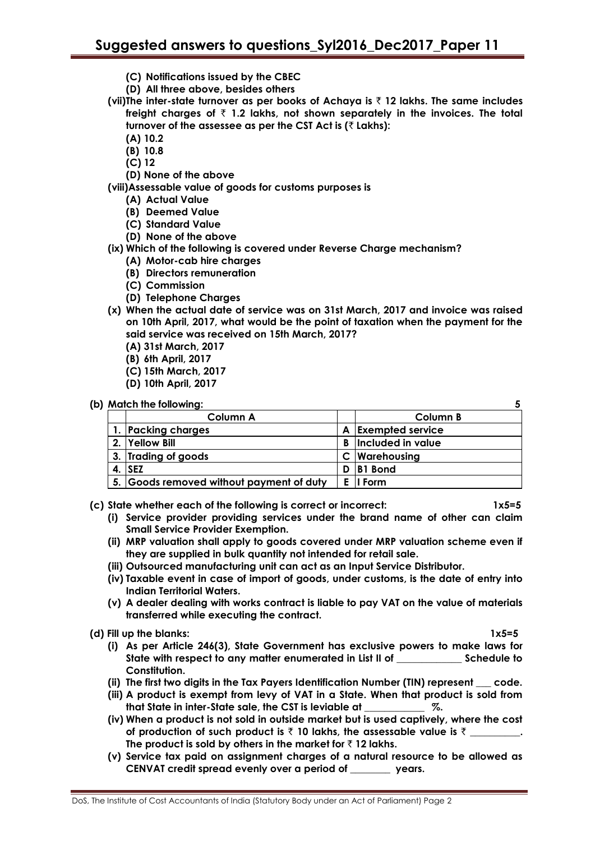- **(C) Notifications issued by the CBEC**
- **(D) All three above, besides others**
- **(vii)The inter-state turnover as per books of Achaya is** ` **12 lakhs. The same includes freight charges of** ` **1.2 lakhs, not shown separately in the invoices. The total turnover of the assessee as per the CST Act is (**` **Lakhs):**
	- **(A) 10.2**
	- **(B) 10.8**
	- **(C) 12**
	- **(D) None of the above**

**(viii)Assessable value of goods for customs purposes is**

- **(A) Actual Value**
- **(B) Deemed Value**
- **(C) Standard Value**
- **(D) None of the above**
- **(ix) Which of the following is covered under Reverse Charge mechanism?**
	- **(A) Motor-cab hire charges**
	- **(B) Directors remuneration**
	- **(C) Commission**
	- **(D) Telephone Charges**
- **(x) When the actual date of service was on 31st March, 2017 and invoice was raised on 10th April, 2017, what would be the point of taxation when the payment for the said service was received on 15th March, 2017?**
	- **(A) 31st March, 2017**
	- **(B) 6th April, 2017**
	- **(C) 15th March, 2017**
	- **(D) 10th April, 2017**

#### **(b) Match the following: 5**

| Column A                                 |    | Column B                |
|------------------------------------------|----|-------------------------|
| 1. Packing charges                       | A  | <b>Exempted service</b> |
| 2. Yellow Bill                           | B. | Included in value       |
| 3. Trading of goods                      |    | C   Warehousing         |
| $4.$ SEZ                                 | D  | <b>B1</b> Bond          |
| 5. Goods removed without payment of duty |    | E II Form               |

- **(c) State whether each of the following is correct or incorrect: 1x5=5**
	- **(i) Service provider providing services under the brand name of other can claim Small Service Provider Exemption.**
	- **(ii) MRP valuation shall apply to goods covered under MRP valuation scheme even if they are supplied in bulk quantity not intended for retail sale.**
	- **(iii) Outsourced manufacturing unit can act as an Input Service Distributor.**
	- **(iv) Taxable event in case of import of goods, under customs, is the date of entry into Indian Territorial Waters.**
	- **(v) A dealer dealing with works contract is liable to pay VAT on the value of materials transferred while executing the contract.**
- 
- **(d) Fill up the blanks: 1x5=5 (i) As per Article 246(3), State Government has exclusive powers to make laws for State with respect to any matter enumerated in List II of \_\_\_\_\_\_\_\_\_\_\_\_\_ Schedule to Constitution.**
	- **(ii) The first two digits in the Tax Payers Identification Number (TIN) represent \_\_\_ code.**
	- **(iii) A product is exempt from levy of VAT in a State. When that product is sold from that State in inter-State sale, the CST is leviable at \_\_\_\_\_\_\_\_\_\_\_\_ %.**
	- **(iv) When a product is not sold in outside market but is used captively, where the cost of production of such product is** ` **10 lakhs, the assessable value is** ` **\_\_\_\_\_\_\_\_\_\_.**  The product is sold by others in the market for  $\bar{\tau}$  12 lakhs.
	- **(v) Service tax paid on assignment charges of a natural resource to be allowed as CENVAT credit spread evenly over a period of \_\_\_\_\_\_\_\_ years.**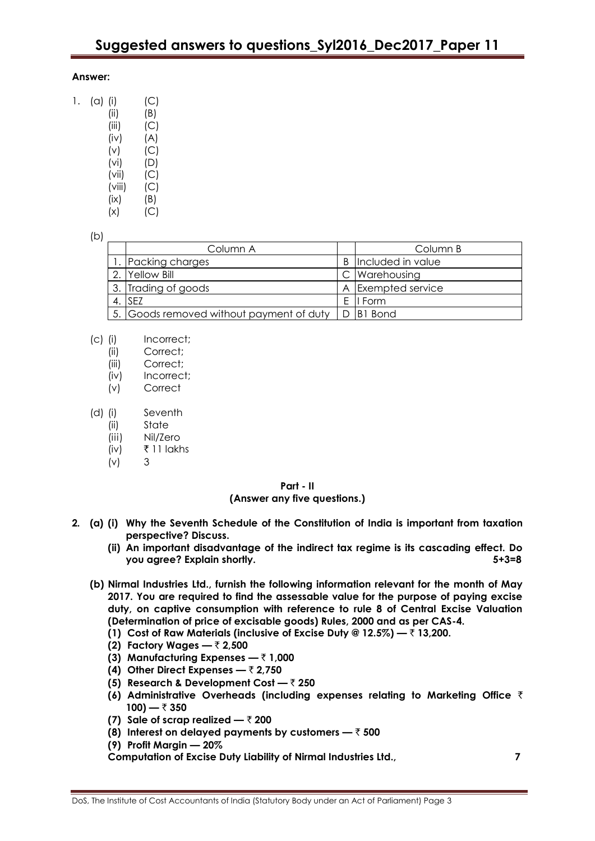### **Answer:**

| 1. | (a) | (i)    | (C) |
|----|-----|--------|-----|
|    |     | (ii)   | (B) |
|    |     | (iii)  | (C) |
|    |     | (iv)   | (A) |
|    |     | (v)    | (C) |
|    |     | (vi)   | (D) |
|    |     | (vii)  | (C) |
|    |     | (viii) | (C) |
|    |     | (ix)   | (B) |
|    |     | (x)    | (C) |

#### (b)

| Column A                                               | Column B                   |
|--------------------------------------------------------|----------------------------|
| Packing charges                                        | <b>B</b> Included in value |
| Yellow Bill                                            | C   Warehousing            |
| 3. Trading of goods                                    | A Exempted service         |
| 4. ISEZ                                                | E II Form                  |
| 5. Goods removed without payment of duty   D   B1 Bond |                            |

| 5. |Goods removed without payment ot duty | D |B1 Bond

- (c) (i) Incorrect;
	- (ii) Correct;
	- (iii) Correct;
	- (iv) Incorrect;
	- (v) Correct
- (d) (i) Seventh
	- (ii) State
	- (iii) Nil/Zero
	- (iv) ₹ 11 lakhs
	- (v) 3

### **Part - II**

#### **(Answer any five questions.)**

- **2. (a) (i) Why the Seventh Schedule of the Constitution of India is important from taxation perspective? Discuss.**
	- **(ii) An important disadvantage of the indirect tax regime is its cascading effect. Do you agree? Explain shortly. 5+3=8**
	- **(b) Nirmal Industries Ltd., furnish the following information relevant for the month of May 2017. You are required to find the assessable value for the purpose of paying excise duty, on captive consumption with reference to rule 8 of Central Excise Valuation (Determination of price of excisable goods) Rules, 2000 and as per CAS-4.**
		- **(1) Cost of Raw Materials (inclusive of Excise Duty @ 12.5%) —** ` **13,200.**
		- **(2) Factory Wages —** ` **2,500**
		- **(3) Manufacturing Expenses —** ` **1,000**
		- **(4) Other Direct Expenses —** ` **2,750**
		- **(5) Research & Development Cost —** ` **250**
		- **(6) Administrative Overheads (including expenses relating to Marketing Office** `  $100$ )  $\overline{z}$  350
		- **(7) Sale of scrap realized —** ` **200**
		- **(8) Interest on delayed payments by customers —** ` **500**
		- **(9) Profit Margin — 20%**

**Computation of Excise Duty Liability of Nirmal Industries Ltd., 7**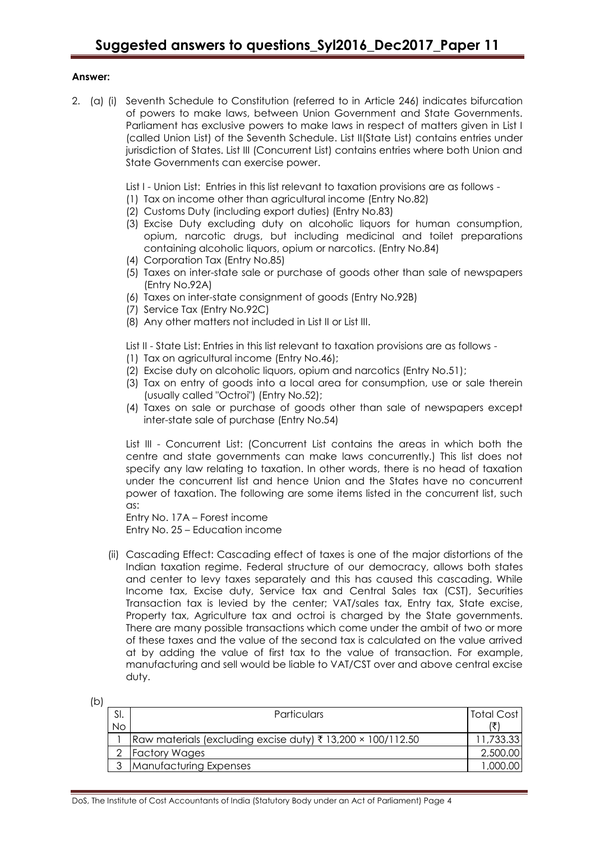#### **Answer:**

- 2. (a) (i) Seventh Schedule to Constitution (referred to in Article 246) indicates bifurcation of powers to make laws, between Union Government and State Governments. Parliament has exclusive powers to make laws in respect of matters given in List I (called Union List) of the Seventh Schedule. List II(State List) contains entries under jurisdiction of States. List III (Concurrent List) contains entries where both Union and State Governments can exercise power.
	- List I Union List: Entries in this list relevant to taxation provisions are as follows -
	- (1) Tax on income other than agricultural income (Entry No.82)
	- (2) Customs Duty (including export duties) (Entry No.83)
	- (3) Excise Duty excluding duty on alcoholic liquors for human consumption, opium, narcotic drugs, but including medicinal and toilet preparations containing alcoholic liquors, opium or narcotics. (Entry No.84)
	- (4) Corporation Tax (Entry No.85)
	- (5) Taxes on inter-state sale or purchase of goods other than sale of newspapers (Entry No.92A)
	- (6) Taxes on inter-state consignment of goods (Entry No.92B)
	- (7) Service Tax (Entry No.92C)
	- (8) Any other matters not included in List II or List III.
	- List II State List: Entries in this list relevant to taxation provisions are as follows -
	- (1) Tax on agricultural income (Entry No.46);
	- (2) Excise duty on alcoholic liquors, opium and narcotics (Entry No.51);
	- (3) Tax on entry of goods into a local area for consumption, use or sale therein (usually called "Octroi") (Entry No.52);
	- (4) Taxes on sale or purchase of goods other than sale of newspapers except inter-state sale of purchase (Entry No.54)

List III - Concurrent List: (Concurrent List contains the areas in which both the centre and state governments can make laws concurrently.) This list does not specify any law relating to taxation. In other words, there is no head of taxation under the concurrent list and hence Union and the States have no concurrent power of taxation. The following are some items listed in the concurrent list, such as:

Entry No. 17A – Forest income Entry No. 25 – Education income

(ii) Cascading Effect: Cascading effect of taxes is one of the major distortions of the Indian taxation regime. Federal structure of our democracy, allows both states and center to levy taxes separately and this has caused this cascading. While Income tax, Excise duty, Service tax and Central Sales tax (CST), Securities Transaction tax is levied by the center; VAT/sales tax, Entry tax, State excise, Property tax, Agriculture tax and octroi is charged by the State governments. There are many possible transactions which come under the ambit of two or more of these taxes and the value of the second tax is calculated on the value arrived at by adding the value of first tax to the value of transaction. For example, manufacturing and sell would be liable to VAT/CST over and above central excise duty.

| (b) |           |                                                                        |            |
|-----|-----------|------------------------------------------------------------------------|------------|
|     | SI.       | <b>Particulars</b>                                                     | Total Cost |
|     | <b>No</b> |                                                                        |            |
|     |           | Raw materials (excluding excise duty) $\bar{\tau}$ 13,200 × 100/112.50 | 11,733.33  |
|     |           | <b>Factory Wages</b>                                                   | 2,500.00   |
|     |           | Manufacturing Expenses                                                 | 1,000.00   |
|     |           |                                                                        |            |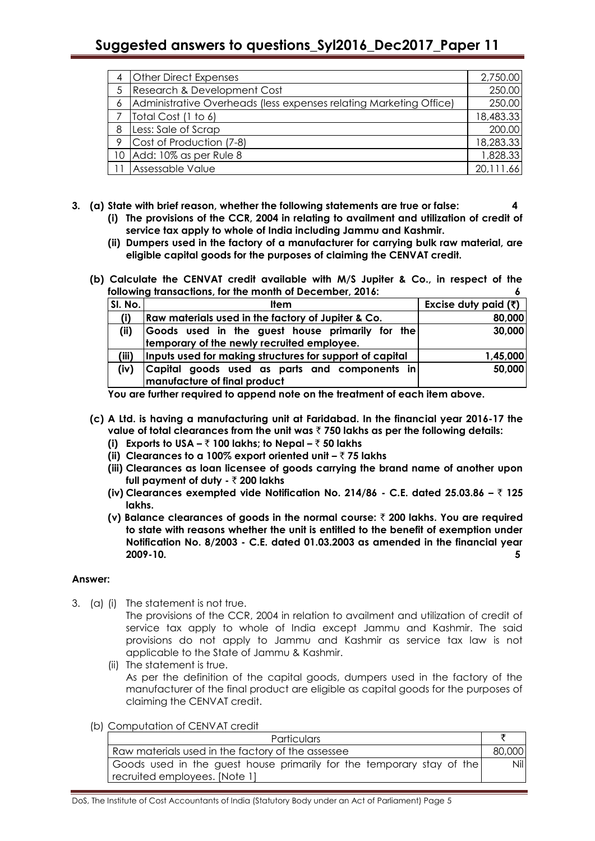# **Suggested answers to questions\_Syl2016\_Dec2017\_Paper 11**

| 4 | <b>Other Direct Expenses</b>                                       | 2,750.00  |
|---|--------------------------------------------------------------------|-----------|
| 5 | Research & Development Cost                                        | 250.00    |
| 6 | Administrative Overheads (less expenses relating Marketing Office) | 250.00    |
|   | Total Cost (1 to 6)                                                | 18,483.33 |
| 8 | Less: Sale of Scrap                                                | 200.00    |
| 9 | Cost of Production (7-8)                                           | 18,283.33 |
|   | 10 Add: 10% as per Rule 8                                          | 1,828.33  |
|   | Assessable Value                                                   | 20,111.66 |

#### **3. (a) State with brief reason, whether the following statements are true or false: 4**

- **(i) The provisions of the CCR, 2004 in relating to availment and utilization of credit of service tax apply to whole of India including Jammu and Kashmir.**
- **(ii) Dumpers used in the factory of a manufacturer for carrying bulk raw material, are eligible capital goods for the purposes of claiming the CENVAT credit.**
- **(b) Calculate the CENVAT credit available with M/S Jupiter & Co., in respect of the**  following transactions, for the month of December, 2016:

| SI. No. | Item                                                     | Excise duty paid $(3)$ |
|---------|----------------------------------------------------------|------------------------|
| (i)     | Raw materials used in the factory of Jupiter & Co.       | 80,000                 |
| (ii)    | Goods used in the guest house primarily for the          | 30,000                 |
|         | temporary of the newly recruited employee.               |                        |
| (iii)   | Inputs used for making structures for support of capital | 1,45,000               |
| (iv)    | Capital goods used as parts and components in            | 50,000                 |
|         | manufacture of final product                             |                        |

**You are further required to append note on the treatment of each item above.**

- **(c) A Ltd. is having a manufacturing unit at Faridabad. In the financial year 2016-17 the value of total clearances from the unit was** ` **750 lakhs as per the following details:**
	- **(i) Exports to USA –** ` **100 lakhs; to Nepal –** ` **50 lakhs**
	- **(ii) Clearances to a 100% export oriented unit –** ` **75 lakhs**
	- **(iii) Clearances as loan licensee of goods carrying the brand name of another upon full payment of duty -** ` **200 lakhs**
	- **(iv) Clearances exempted vide Notification No. 214/86 - C.E. dated 25.03.86 –** ` **125 lakhs.**
	- **(v) Balance clearances of goods in the normal course:** ` **200 lakhs. You are required to state with reasons whether the unit is entitled to the benefit of exemption under Notification No. 8/2003 - C.E. dated 01.03.2003 as amended in the financial year 2009-10. 5**

#### **Answer:**

3. (a) (i) The statement is not true.

The provisions of the CCR, 2004 in relation to availment and utilization of credit of service tax apply to whole of India except Jammu and Kashmir. The said provisions do not apply to Jammu and Kashmir as service tax law is not applicable to the State of Jammu & Kashmir.

- (ii) The statement is true. As per the definition of the capital goods, dumpers used in the factory of the manufacturer of the final product are eligible as capital goods for the purposes of claiming the CENVAT credit.
- (b) Computation of CENVAT credit

| <b>Particulars</b>                                                                                     |        |
|--------------------------------------------------------------------------------------------------------|--------|
| Raw materials used in the factory of the assessee                                                      | 80,000 |
| Goods used in the guest house primarily for the temporary stay of the<br>recruited employees. [Note 1] | Nill   |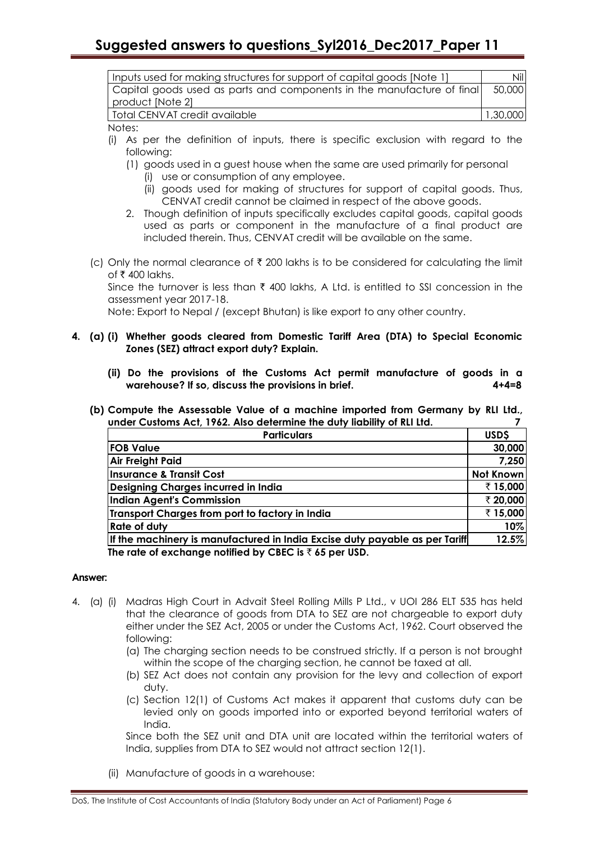| Inputs used for making structures for support of capital goods [Note 1] | Nill     |
|-------------------------------------------------------------------------|----------|
| Capital goods used as parts and components in the manufacture of final  | 50.000   |
| product [Note 2]                                                        |          |
| Total CENVAT credit available                                           | 1,30,000 |

Notes:

- (i) As per the definition of inputs, there is specific exclusion with regard to the following:
	- (1) goods used in a guest house when the same are used primarily for personal
		- (i) use or consumption of any employee.
		- (ii) goods used for making of structures for support of capital goods. Thus, CENVAT credit cannot be claimed in respect of the above goods.
	- 2. Though definition of inputs specifically excludes capital goods, capital goods used as parts or component in the manufacture of a final product are included therein. Thus, CENVAT credit will be available on the same.
- (c) Only the normal clearance of  $\bar{\tau}$  200 lakhs is to be considered for calculating the limit of  $\bar{\tau}$  400 lakhs.

Since the turnover is less than  $\bar{\tau}$  400 lakhs, A Ltd. is entitled to SSI concession in the assessment year 2017-18.

Note: Export to Nepal / (except Bhutan) is like export to any other country.

#### **4. (a) (i) Whether goods cleared from Domestic Tariff Area (DTA) to Special Economic Zones (SEZ) attract export duty? Explain.**

- **(ii) Do the provisions of the Customs Act permit manufacture of goods in a warehouse? If so, discuss the provisions in brief. 4+4=8**
- **(b) Compute the Assessable Value of a machine imported from Germany by RLI Ltd., under Customs Act, 1962. Also determine the duty liability of RLI Ltd. 7**

| <b>Particulars</b>                                                          |           |
|-----------------------------------------------------------------------------|-----------|
| <b>FOB Value</b>                                                            | 30,000    |
| Air Freight Paid                                                            | 7,250     |
| Insurance & Transit Cost                                                    | Not Known |
| Designing Charges incurred in India                                         | ₹15,000   |
| Indian Agent's Commission                                                   | ₹ 20,000  |
| Transport Charges from port to factory in India                             | ₹15,000   |
| <b>Rate of duty</b>                                                         | 10%       |
| If the machinery is manufactured in India Excise duty payable as per Tariff | 12.5%     |
| The rate of exchange notified by CBEC is $\bar{\tau}$ 65 per USD.           |           |

#### **Answer:**

- 4. (a) (i) Madras High Court in Advait Steel Rolling Mills P Ltd., v UOI 286 ELT 535 has held that the clearance of goods from DTA to SEZ are not chargeable to export duty either under the SEZ Act, 2005 or under the Customs Act, 1962. Court observed the following:
	- (a) The charging section needs to be construed strictly. If a person is not brought within the scope of the charging section, he cannot be taxed at all.
	- (b) SEZ Act does not contain any provision for the levy and collection of export duty.
	- (c) Section 12(1) of Customs Act makes it apparent that customs duty can be levied only on goods imported into or exported beyond territorial waters of India.

Since both the SEZ unit and DTA unit are located within the territorial waters of India, supplies from DTA to SEZ would not attract section 12(1).

(ii) Manufacture of goods in a warehouse: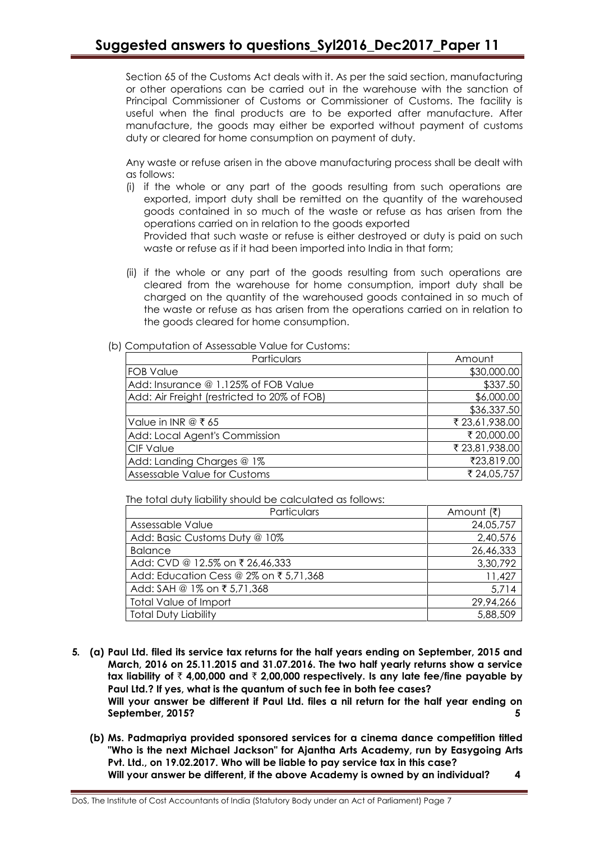Section 65 of the Customs Act deals with it. As per the said section, manufacturing or other operations can be carried out in the warehouse with the sanction of Principal Commissioner of Customs or Commissioner of Customs. The facility is useful when the final products are to be exported after manufacture. After manufacture, the goods may either be exported without payment of customs duty or cleared for home consumption on payment of duty.

Any waste or refuse arisen in the above manufacturing process shall be dealt with as follows:

(i) if the whole or any part of the goods resulting from such operations are exported, import duty shall be remitted on the quantity of the warehoused goods contained in so much of the waste or refuse as has arisen from the operations carried on in relation to the goods exported

Provided that such waste or refuse is either destroyed or duty is paid on such waste or refuse as if it had been imported into India in that form;

(ii) if the whole or any part of the goods resulting from such operations are cleared from the warehouse for home consumption, import duty shall be charged on the quantity of the warehoused goods contained in so much of the waste or refuse as has arisen from the operations carried on in relation to the goods cleared for home consumption.

### (b) Computation of Assessable Value for Customs:

| Particulars                                 | Amount         |
|---------------------------------------------|----------------|
| <b>FOB Value</b>                            | \$30,000.00    |
| Add: Insurance @ 1.125% of FOB Value        | \$337.50       |
| Add: Air Freight (restricted to 20% of FOB) | \$6,000.00     |
|                                             | \$36,337.50    |
| Value in INR @ ₹ 65                         | ₹ 23,61,938.00 |
| Add: Local Agent's Commission               | ₹ 20,000.00    |
| <b>CIF Value</b>                            | ₹ 23,81,938.00 |
| Add: Landing Charges @ 1%                   | ₹23,819.00     |
| Assessable Value for Customs                | ₹ 24,05,757    |

The total duty liability should be calculated as follows:

| Particulars                            | Amount (₹) |
|----------------------------------------|------------|
| Assessable Value                       | 24,05,757  |
| Add: Basic Customs Duty @ 10%          | 2,40,576   |
| <b>Balance</b>                         | 26,46,333  |
| Add: CVD @ 12.5% on ₹ 26,46,333        | 3,30,792   |
| Add: Education Cess @ 2% on ₹ 5,71,368 | 11,427     |
| Add: SAH @ 1% on ₹ 5,71,368            | 5,714      |
| Total Value of Import                  | 29,94,266  |
| <b>Total Duty Liability</b>            | 5,88,509   |

- **5. (a) Paul Ltd. filed its service tax returns for the half years ending on September, 2015 and March, 2016 on 25.11.2015 and 31.07.2016. The two half yearly returns show a service tax liability of** ` **4,00,000 and** ` **2,00,000 respectively. Is any late fee/fine payable by Paul Ltd.? If yes, what is the quantum of such fee in both fee cases? Will your answer be different if Paul Ltd. files a nil return for the half year ending on September, 2015? 5**
	- **(b) Ms. Padmapriya provided sponsored services for a cinema dance competition titled "Who is the next Michael Jackson" for Ajantha Arts Academy, run by Easygoing Arts Pvt. Ltd., on 19.02.2017. Who will be liable to pay service tax in this case? Will your answer be different, if the above Academy is owned by an individual? 4**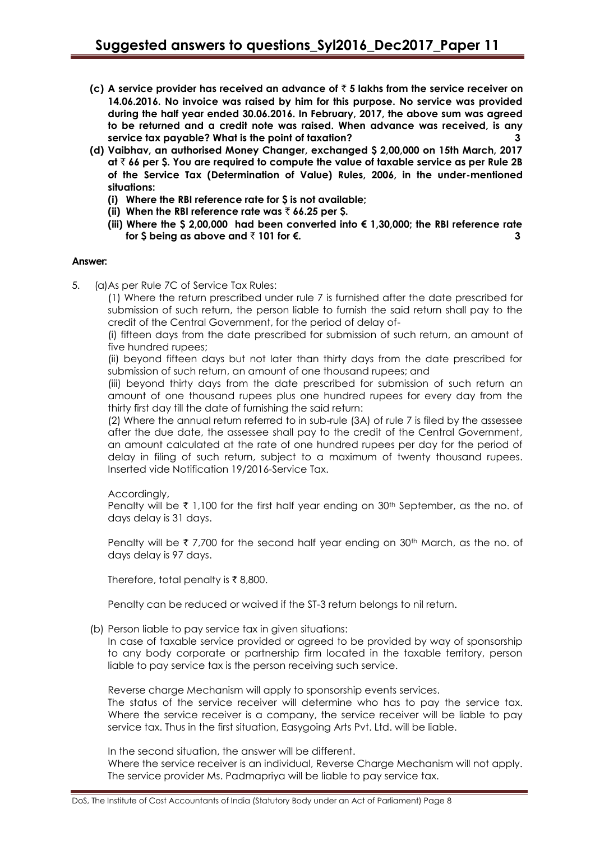- **(c) A service provider has received an advance of** ` **5 lakhs from the service receiver on 14.06.2016. No invoice was raised by him for this purpose. No service was provided during the half year ended 30.06.2016. In February, 2017, the above sum was agreed to be returned and a credit note was raised. When advance was received, is any service tax payable? What is the point of taxation? 3**
- **(d) Vaibhav, an authorised Money Changer, exchanged \$ 2,00,000 on 15th March, 2017 at** ` **66 per \$. You are required to compute the value of taxable service as per Rule 2B of the Service Tax (Determination of Value) Rules, 2006, in the under-mentioned situations:**
	- **(i) Where the RBI reference rate for \$ is not available;**
	- (ii) When the RBI reference rate was  $\bar{\tau}$  66.25 per \$.
	- **(iii) Where the \$ 2,00,000 had been converted into € 1,30,000; the RBI reference rate**  for \$ being as above and  $\bar{z}$  101 for €.

#### **Answer:**

5. (a)As per Rule 7C of Service Tax Rules:

(1) Where the return prescribed under rule 7 is furnished after the date prescribed for submission of such return, the person liable to furnish the said return shall pay to the credit of the Central Government, for the period of delay of-

(i) fifteen days from the date prescribed for submission of such return, an amount of five hundred rupees;

(ii) beyond fifteen days but not later than thirty days from the date prescribed for submission of such return, an amount of one thousand rupees; and

(iii) beyond thirty days from the date prescribed for submission of such return an amount of one thousand rupees plus one hundred rupees for every day from the thirty first day till the date of furnishing the said return:

(2) Where the annual return referred to in sub-rule (3A) of rule 7 is filed by the assessee after the due date, the assessee shall pay to the credit of the Central Government, an amount calculated at the rate of one hundred rupees per day for the period of delay in filing of such return, subject to a maximum of twenty thousand rupees. Inserted vide Notification 19/2016-Service Tax.

#### Accordingly,

Penalty will be  $\bar{\tau}$  1,100 for the first half year ending on 30<sup>th</sup> September, as the no. of days delay is 31 days.

Penalty will be  $\bar{\tau}$  7,700 for the second half year ending on 30<sup>th</sup> March, as the no. of days delay is 97 days.

Therefore, total penalty is ₹8,800.

Penalty can be reduced or waived if the ST-3 return belongs to nil return.

(b) Person liable to pay service tax in given situations:

In case of taxable service provided or agreed to be provided by way of sponsorship to any body corporate or partnership firm located in the taxable territory, person liable to pay service tax is the person receiving such service.

Reverse charge Mechanism will apply to sponsorship events services.

The status of the service receiver will determine who has to pay the service tax. Where the service receiver is a company, the service receiver will be liable to pay service tax. Thus in the first situation, Easygoing Arts Pvt. Ltd. will be liable.

In the second situation, the answer will be different.

Where the service receiver is an individual, Reverse Charge Mechanism will not apply. The service provider Ms. Padmapriya will be liable to pay service tax.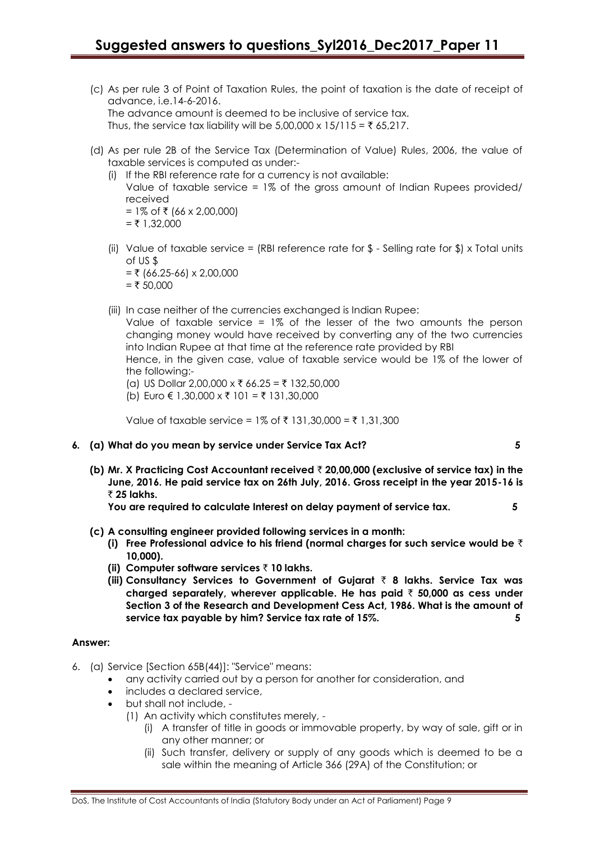- (c) As per rule 3 of Point of Taxation Rules, the point of taxation is the date of receipt of advance, i.e.14-6-2016. The advance amount is deemed to be inclusive of service tax. Thus, the service tax liability will be  $5,00,000 \times 15/115 = ₹65,217$ .
- (d) As per rule 2B of the Service Tax (Determination of Value) Rules, 2006, the value of taxable services is computed as under:-
	- (i) If the RBI reference rate for a currency is not available: Value of taxable service = 1% of the gross amount of Indian Rupees provided/ received = 1% of ₹ (66 x 2,00,000)
		- $=$  ₹ 1,32,000
	- (ii) Value of taxable service = (RBI reference rate for  $\frac{1}{2}$  Selling rate for  $\frac{1}{2}$ ) x Total units of US \$  $= ₹ (66.25-66) × 2,00,000$ 
		- $=$  ₹ 50,000
	- (iii) In case neither of the currencies exchanged is Indian Rupee:

Value of taxable service = 1% of the lesser of the two amounts the person changing money would have received by converting any of the two currencies into Indian Rupee at that time at the reference rate provided by RBI

Hence, in the given case, value of taxable service would be 1% of the lower of the following:-

- (a) US Dollar 2,00,000 x ₹ 66.25 = ₹ 132,50,000
- (b) Euro € 1,30,000 x ₹ 101 = ₹ 131,30,000

Value of taxable service =  $1\%$  of ₹ 131,30,000 = ₹ 1,31,300

- **6. (a) What do you mean by service under Service Tax Act? 5**
	- **(b) Mr. X Practicing Cost Accountant received** ` **20,00,000 (exclusive of service tax) in the June, 2016. He paid service tax on 26th July, 2016. Gross receipt in the year 2015-16 is**  ` **25 lakhs.**

**You are required to calculate Interest on delay payment of service tax. 5**

- **(c) A consulting engineer provided following services in a month:**
	- **(i) Free Professional advice to his friend (normal charges for such service would be** ` **10,000).**
	- **(ii) Computer software services** ` **10 lakhs.**
	- **(iii) Consultancy Services to Government of Gujarat** ` **8 lakhs. Service Tax was charged separately, wherever applicable. He has paid** ` **50,000 as cess under Section 3 of the Research and Development Cess Act, 1986. What is the amount of service tax payable by him? Service tax rate of 15%. 5**

#### **Answer:**

- 6. (a) Service [Section 65B(44)]: "Service" means:
	- any activity carried out by a person for another for consideration, and
	- includes a declared service,
	- but shall not include,
		- (1) An activity which constitutes merely,
			- (i) A transfer of title in goods or immovable property, by way of sale, gift or in any other manner; or
			- (ii) Such transfer, delivery or supply of any goods which is deemed to be a sale within the meaning of Article 366 (29A) of the Constitution; or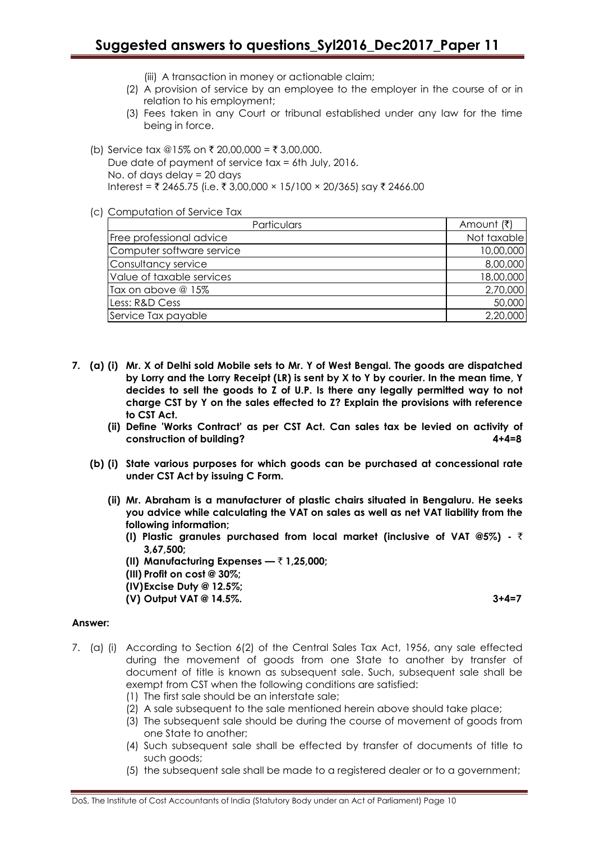(iii) A transaction in money or actionable claim;

- (2) A provision of service by an employee to the employer in the course of or in relation to his employment;
- (3) Fees taken in any Court or tribunal established under any law for the time being in force.
- (b) Service tax @15% on ₹ 20,00,000 = ₹ 3,00,000. Due date of payment of service tax = 6th July, 2016. No. of days delay = 20 days Interest =  $\bar{\tau}$  2465.75 (i.e.  $\bar{\tau}$  3,00,000 × 15/100 × 20/365) say  $\bar{\tau}$  2466.00
- (c) Computation of Service Tax

| Particulars               | Amount (₹)  |
|---------------------------|-------------|
| Free professional advice  | Not taxable |
| Computer software service | 10,00,000   |
| Consultancy service       | 8,00,000    |
| Value of taxable services | 18,00,000   |
| Tax on above @ 15%        | 2,70,000    |
| Less: R&D Cess            | 50,000      |
| Service Tax payable       | 2,20,000    |

- **7. (a) (i) Mr. X of Delhi sold Mobile sets to Mr. Y of West Bengal. The goods are dispatched by Lorry and the Lorry Receipt (LR) is sent by X to Y by courier. In the mean time, Y decides to sell the goods to Z of U.P. Is there any legally permitted way to not charge CST by Y on the sales effected to Z? Explain the provisions with reference to CST Act.**
	- **(ii) Define 'Works Contract' as per CST Act. Can sales tax be levied on activity of construction of building? 4+4=8**
	- **(b) (i) State various purposes for which goods can be purchased at concessional rate under CST Act by issuing C Form.**
		- **(ii) Mr. Abraham is a manufacturer of plastic chairs situated in Bengaluru. He seeks you advice while calculating the VAT on sales as well as net VAT liability from the following information;**
			- **(I) Plastic granules purchased from local market (inclusive of VAT @5%) -** ` **3,67,500;**
			- **(II) Manufacturing Expenses —** ` **1,25,000;**
			- **(III) Profit on cost @ 30%;**
			- **(IV)Excise Duty @ 12.5%;**
			- **(V) Output VAT @ 14.5%. 3+4=7**

#### **Answer:**

- 7. (a) (i) According to Section 6(2) of the Central Sales Tax Act, 1956, any sale effected during the movement of goods from one State to another by transfer of document of title is known as subsequent sale. Such, subsequent sale shall be exempt from CST when the following conditions are satisfied:
	- (1) The first sale should be an interstate sale;
	- (2) A sale subsequent to the sale mentioned herein above should take place;
	- (3) The subsequent sale should be during the course of movement of goods from one State to another;
	- (4) Such subsequent sale shall be effected by transfer of documents of title to such goods;
	- (5) the subsequent sale shall be made to a registered dealer or to a government;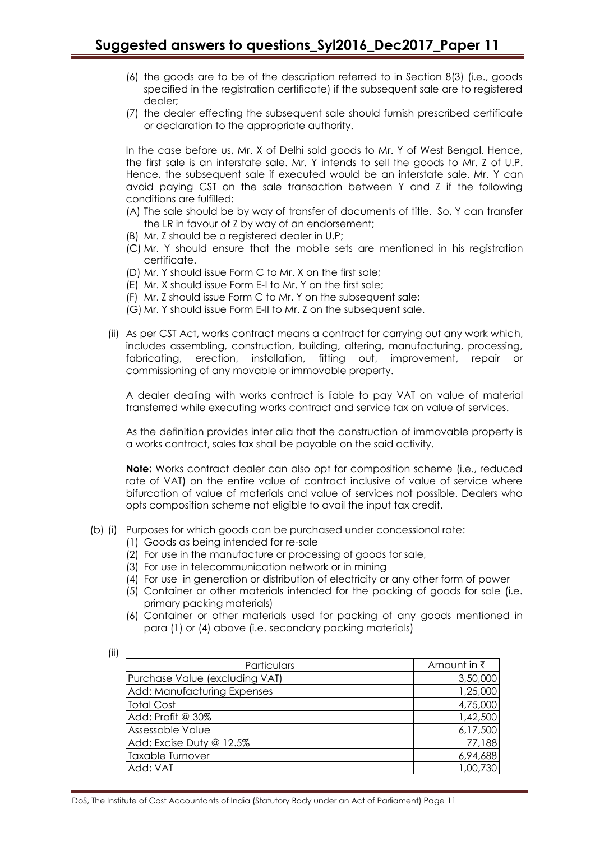- (6) the goods are to be of the description referred to in Section 8(3) (i.e., goods specified in the registration certificate) if the subsequent sale are to registered dealer;
- (7) the dealer effecting the subsequent sale should furnish prescribed certificate or declaration to the appropriate authority.

In the case before us, Mr. X of Delhi sold goods to Mr. Y of West Bengal. Hence, the first sale is an interstate sale. Mr. Y intends to sell the goods to Mr. Z of U.P. Hence, the subsequent sale if executed would be an interstate sale. Mr. Y can avoid paying CST on the sale transaction between Y and Z if the following conditions are fulfilled:

- (A) The sale should be by way of transfer of documents of title. So, Y can transfer the LR in favour of Z by way of an endorsement;
- (B) Mr. Z should be a registered dealer in U.P;
- (C) Mr. Y should ensure that the mobile sets are mentioned in his registration certificate.
- (D) Mr. Y should issue Form C to Mr. X on the first sale;
- (E) Mr. X should issue Form E-I to Mr. Y on the first sale;
- (F) Mr. Z should issue Form C to Mr. Y on the subsequent sale;
- (G) Mr. Y should issue Form E-II to Mr. Z on the subsequent sale.
- (ii) As per CST Act, works contract means a contract for carrying out any work which, includes assembling, construction, building, altering, manufacturing, processing, fabricating, erection, installation, fitting out, improvement, repair or commissioning of any movable or immovable property.

A dealer dealing with works contract is liable to pay VAT on value of material transferred while executing works contract and service tax on value of services.

As the definition provides inter alia that the construction of immovable property is a works contract, sales tax shall be payable on the said activity.

**Note:** Works contract dealer can also opt for composition scheme (i.e., reduced rate of VAT) on the entire value of contract inclusive of value of service where bifurcation of value of materials and value of services not possible. Dealers who opts composition scheme not eligible to avail the input tax credit.

- (b) (i) Purposes for which goods can be purchased under concessional rate:
	- (1) Goods as being intended for re-sale
	- (2) For use in the manufacture or processing of goods for sale,
	- (3) For use in telecommunication network or in mining
	- (4) For use in generation or distribution of electricity or any other form of power
	- (5) Container or other materials intended for the packing of goods for sale (i.e. primary packing materials)
	- (6) Container or other materials used for packing of any goods mentioned in para (1) or (4) above (i.e. secondary packing materials)

| Particulars                    | Amount in ₹ |
|--------------------------------|-------------|
| Purchase Value (excluding VAT) | 3,50,000    |
| Add: Manufacturing Expenses    | 1,25,000    |
| <b>Total Cost</b>              | 4,75,000    |
| Add: Profit @ 30%              | 1,42,500    |
| Assessable Value               | 6,17,500    |
| Add: Excise Duty @ 12.5%       | 77,188      |
| <b>Taxable Turnover</b>        | 6,94,688    |
| Add: VAT                       | 1,00,730    |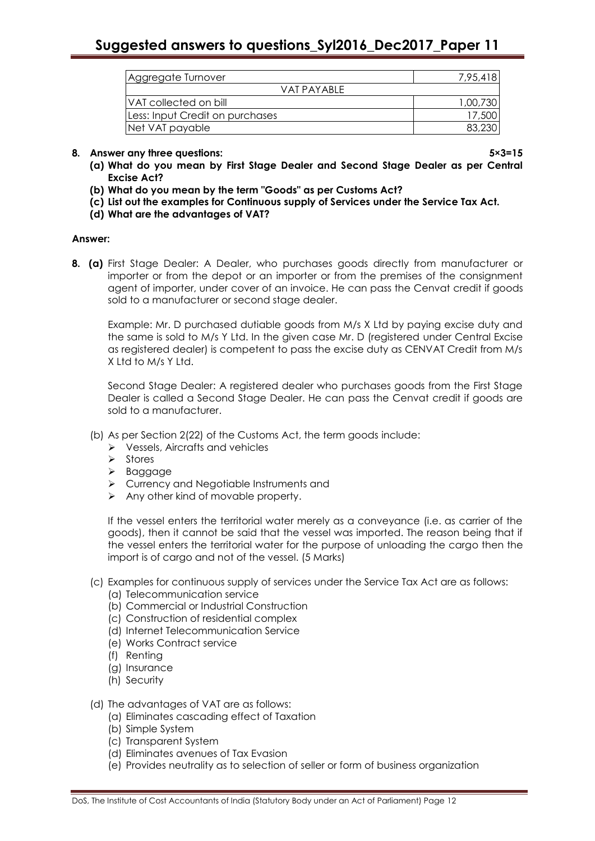| <b>Aggregate Turnover</b>       | 7,95,418 |  |  |
|---------------------------------|----------|--|--|
| VAT PAYABLE                     |          |  |  |
| IVAT collected on bill          | 1,00,730 |  |  |
| Less: Input Credit on purchases | 17,500   |  |  |
| Net VAT payable                 |          |  |  |

## **8. Answer any three questions: 5×3=15**

- **(a) What do you mean by First Stage Dealer and Second Stage Dealer as per Central Excise Act?**
- **(b) What do you mean by the term "Goods" as per Customs Act?**
- **(c) List out the examples for Continuous supply of Services under the Service Tax Act.**
- **(d) What are the advantages of VAT?**

### **Answer:**

**8. (a)** First Stage Dealer: A Dealer, who purchases goods directly from manufacturer or importer or from the depot or an importer or from the premises of the consignment agent of importer, under cover of an invoice. He can pass the Cenvat credit if goods sold to a manufacturer or second stage dealer.

Example: Mr. D purchased dutiable goods from M/s X Ltd by paying excise duty and the same is sold to M/s Y Ltd. In the given case Mr. D (registered under Central Excise as registered dealer) is competent to pass the excise duty as CENVAT Credit from M/s X Ltd to M/s Y Ltd.

Second Stage Dealer: A registered dealer who purchases goods from the First Stage Dealer is called a Second Stage Dealer. He can pass the Cenvat credit if goods are sold to a manufacturer.

- (b) As per Section 2(22) of the Customs Act, the term goods include:
	- Vessels, Aircrafts and vehicles
	- $\triangleright$  Stores
	- > Baggage
	- Currency and Negotiable Instruments and
	- $\triangleright$  Any other kind of movable property.

If the vessel enters the territorial water merely as a conveyance (i.e. as carrier of the goods), then it cannot be said that the vessel was imported. The reason being that if the vessel enters the territorial water for the purpose of unloading the cargo then the import is of cargo and not of the vessel. (5 Marks)

- (c) Examples for continuous supply of services under the Service Tax Act are as follows:
	- (a) Telecommunication service
	- (b) Commercial or Industrial Construction
	- (c) Construction of residential complex
	- (d) Internet Telecommunication Service
	- (e) Works Contract service
	- (f) Renting
	- (g) Insurance
	- (h) Security

### (d) The advantages of VAT are as follows:

- (a) Eliminates cascading effect of Taxation
- (b) Simple System
- (c) Transparent System
- (d) Eliminates avenues of Tax Evasion
- (e) Provides neutrality as to selection of seller or form of business organization